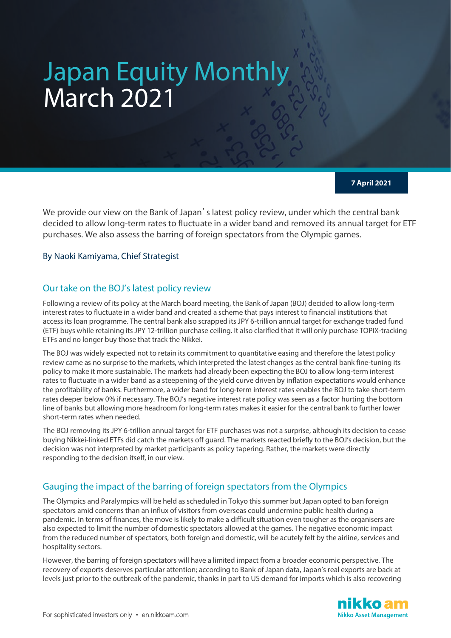# Japan Equity Monthly March 2021

## **7 April 2021**

We provide our view on the Bank of Japan's latest policy review, under which the central bank decided to allow long-term rates to fluctuate in a wider band and removed its annual target for ETF purchases. We also assess the barring of foreign spectators from the Olympic games.

By Naoki Kamiyama, Chief Strategist

# Our take on the BOJ's latest policy review

Following a review of its policy at the March board meeting, the Bank of Japan (BOJ) decided to allow long-term interest rates to fluctuate in a wider band and created a scheme that pays interest to financial institutions that access its loan programme. The central bank also scrapped its JPY 6-trillion annual target for exchange traded fund (ETF) buys while retaining its JPY 12-trillion purchase ceiling. It also clarified that it will only purchase TOPIX-tracking ETFs and no longer buy those that track the Nikkei.

The BOJ was widely expected not to retain its commitment to quantitative easing and therefore the latest policy review came as no surprise to the markets, which interpreted the latest changes as the central bank fine-tuning its policy to make it more sustainable. The markets had already been expecting the BOJ to allow long-term interest rates to fluctuate in a wider band as a steepening of the yield curve driven by inflation expectations would enhance the profitability of banks. Furthermore, a wider band for long-term interest rates enables the BOJ to take short-term rates deeper below 0% if necessary. The BOJ's negative interest rate policy was seen as a factor hurting the bottom line of banks but allowing more headroom for long-term rates makes it easier for the central bank to further lower short-term rates when needed.

The BOJ removing its JPY 6-trillion annual target for ETF purchases was not a surprise, although its decision to cease buying Nikkei-linked ETFs did catch the markets off guard. The markets reacted briefly to the BOJ's decision, but the decision was not interpreted by market participants as policy tapering. Rather, the markets were directly responding to the decision itself, in our view.

# Gauging the impact of the barring of foreign spectators from the Olympics

The Olympics and Paralympics will be held as scheduled in Tokyo this summer but Japan opted to ban foreign spectators amid concerns than an influx of visitors from overseas could undermine public health during a pandemic. In terms of finances, the move is likely to make a difficult situation even tougher as the organisers are also expected to limit the number of domestic spectators allowed at the games. The negative economic impact from the reduced number of spectators, both foreign and domestic, will be acutely felt by the airline, services and hospitality sectors.

However, the barring of foreign spectators will have a limited impact from a broader economic perspective. The recovery of exports deserves particular attention; according to Bank of Japan data, Japan's real exports are back at levels just prior to the outbreak of the pandemic, thanks in part to US demand for imports which is also recovering

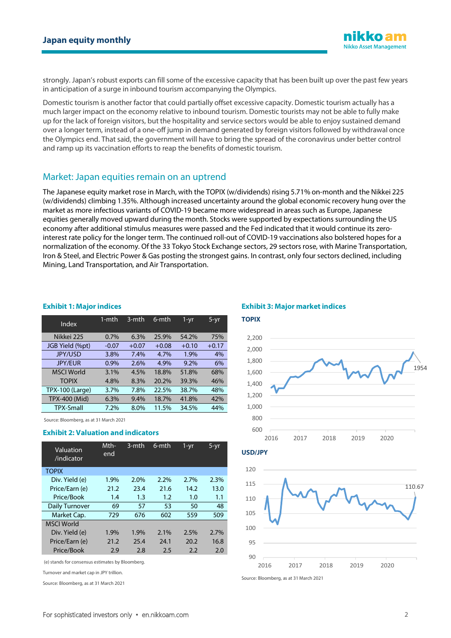

strongly. Japan's robust exports can fill some of the excessive capacity that has been built up over the past few years in anticipation of a surge in inbound tourism accompanying the Olympics.

Domestic tourism is another factor that could partially offset excessive capacity. Domestic tourism actually has a much larger impact on the economy relative to inbound tourism. Domestic tourists may not be able to fully make up for the lack of foreign visitors, but the hospitality and service sectors would be able to enjoy sustained demand over a longer term, instead of a one-off jump in demand generated by foreign visitors followed by withdrawal once the Olympics end. That said, the government will have to bring the spread of the coronavirus under better control and ramp up its vaccination efforts to reap the benefits of domestic tourism.

## Market: Japan equities remain on an uptrend

The Japanese equity market rose in March, with the TOPIX (w/dividends) rising 5.71% on-month and the Nikkei 225 (w/dividends) climbing 1.35%. Although increased uncertainty around the global economic recovery hung over the market as more infectious variants of COVID-19 became more widespread in areas such as Europe, Japanese equities generally moved upward during the month. Stocks were supported by expectations surrounding the US economy after additional stimulus measures were passed and the Fed indicated that it would continue its zerointerest rate policy for the longer term. The continued roll-out of COVID-19 vaccinations also bolstered hopes for a normalization of the economy. Of the 33 Tokyo Stock Exchange sectors, 29 sectors rose, with Marine Transportation, Iron & Steel, and Electric Power & Gas posting the strongest gains. In contrast, only four sectors declined, including Mining, Land Transportation, and Air Transportation.

#### **Exhibit 1: Major indices**

|                        | 1-mth   | 3-mth   | $6$ -mth | 1-yr    | $5 - yr$ |
|------------------------|---------|---------|----------|---------|----------|
| Index                  |         |         |          |         |          |
|                        |         |         |          |         |          |
| Nikkei 225             | 0.7%    | 6.3%    | 25.9%    | 54.2%   | 75%      |
|                        |         |         |          |         |          |
| JGB Yield (%pt)        | $-0.07$ | $+0.07$ | $+0.08$  | $+0.10$ | $+0.17$  |
| <b>JPY/USD</b>         | 3.8%    | 7.4%    | 4.7%     | 1.9%    | 4%       |
|                        |         |         |          |         |          |
| <b>JPY/EUR</b>         | 0.9%    | 2.6%    | 4.9%     | 9.2%    | 6%       |
|                        |         |         |          |         |          |
| <b>MSCI World</b>      | 3.1%    | 4.5%    | 18.8%    | 51.8%   | 68%      |
| <b>TOPIX</b>           | 4.8%    | 8.3%    | 20.2%    | 39.3%   | 46%      |
|                        |         |         |          |         |          |
| <b>TPX-100 (Large)</b> | 3.7%    | 7.8%    | 22.5%    | 38.7%   | 48%      |
| TPX-400 (Mid)          | 6.3%    | 9.4%    | 18.7%    | 41.8%   | 42%      |
|                        |         |         |          |         |          |
| <b>TPX-Small</b>       | 7.2%    | 8.0%    | 11.5%    | 34.5%   | 44%      |
|                        |         |         |          |         |          |

Source: Bloomberg, as at 31 March 2021

### **Exhibit 2: Valuation and indicators**

| Valuation<br>/indicator | Mth-<br>end | 3-mth | 6-mth | $1 - yr$ | 5-yr |
|-------------------------|-------------|-------|-------|----------|------|
| <b>TOPIX</b>            |             |       |       |          |      |
| Div. Yield (e)          | 1.9%        | 2.0%  | 2.2%  | 2.7%     | 2.3% |
| Price/Earn (e)          | 21.2        | 23.4  | 21.6  | 14.2     | 13.0 |
| Price/Book              | 1.4         | 1.3   | 1.2   | 1.0      | 1.1  |
| <b>Daily Turnover</b>   | 69          | 57    | 53    | 50       | 48   |
| Market Cap.             | 729         | 676   | 602   | 559      | 509  |
| <b>MSCI World</b>       |             |       |       |          |      |
| Div. Yield (e)          | 1.9%        | 1.9%  | 2.1%  | 2.5%     | 2.7% |
| Price/Earn (e)          | 21.2        | 25.4  | 24.1  | 20.2     | 16.8 |
| Price/Book              | 2.9         | 2.8   | 2.5   | 2.2      | 2.0  |

(e) stands for consensus estimates by Bloomberg.

Turnover and market cap in JPY trillion.

Source: Bloomberg, as at 31 March 2021

#### **Exhibit 3: Major market indices**



**USD/JPY**



Source: Bloomberg, as at 31 March 2021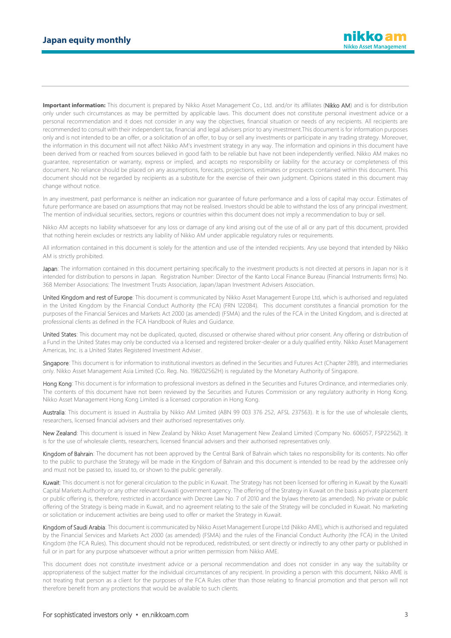**Important information:** This document is prepared by Nikko Asset Management Co., Ltd. and/or its affiliates (Nikko AM) and is for distribution only under such circumstances as may be permitted by applicable laws. This document does not constitute personal investment advice or a personal recommendation and it does not consider in any way the objectives, financial situation or needs of any recipients. All recipients are recommended to consult with their independent tax, financial and legal advisers prior to any investment.This document is for information purposes only and is not intended to be an offer, or a solicitation of an offer, to buy or sell any investments or participate in any trading strategy. Moreover, the information in this document will not affect Nikko AM's investment strategy in any way. The information and opinions in this document have been derived from or reached from sources believed in good faith to be reliable but have not been independently verified. Nikko AM makes no guarantee, representation or warranty, express or implied, and accepts no responsibility or liability for the accuracy or completeness of this document. No reliance should be placed on any assumptions, forecasts, projections, estimates or prospects contained within this document. This document should not be regarded by recipients as a substitute for the exercise of their own judgment. Opinions stated in this document may change without notice.

In any investment, past performance is neither an indication nor guarantee of future performance and a loss of capital may occur. Estimates of future performance are based on assumptions that may not be realised. Investors should be able to withstand the loss of any principal investment. The mention of individual securities, sectors, regions or countries within this document does not imply a recommendation to buy or sell.

Nikko AM accepts no liability whatsoever for any loss or damage of any kind arising out of the use of all or any part of this document, provided that nothing herein excludes or restricts any liability of Nikko AM under applicable regulatory rules or requirements.

All information contained in this document is solely for the attention and use of the intended recipients. Any use beyond that intended by Nikko AM is strictly prohibited.

Japan: The information contained in this document pertaining specifically to the investment products is not directed at persons in Japan nor is it intended for distribution to persons in Japan. Registration Number: Director of the Kanto Local Finance Bureau (Financial Instruments firms) No. 368 Member Associations: The Investment Trusts Association, Japan/Japan Investment Advisers Association.

United Kingdom and rest of Europe: This document is communicated by Nikko Asset Management Europe Ltd, which is authorised and regulated in the United Kingdom by the Financial Conduct Authority (the FCA) (FRN 122084). This document constitutes a financial promotion for the purposes of the Financial Services and Markets Act 2000 (as amended) (FSMA) and the rules of the FCA in the United Kingdom, and is directed at professional clients as defined in the FCA Handbook of Rules and Guidance.

United States: This document may not be duplicated, quoted, discussed or otherwise shared without prior consent. Any offering or distribution of a Fund in the United States may only be conducted via a licensed and registered broker-dealer or a duly qualified entity. Nikko Asset Management Americas, Inc. is a United States Registered Investment Adviser.

Singapore: This document is for information to institutional investors as defined in the Securities and Futures Act (Chapter 289), and intermediaries only. Nikko Asset Management Asia Limited (Co. Reg. No. 198202562H) is regulated by the Monetary Authority of Singapore.

Hong Kong: This document is for information to professional investors as defined in the Securities and Futures Ordinance, and intermediaries only. The contents of this document have not been reviewed by the Securities and Futures Commission or any regulatory authority in Hong Kong. Nikko Asset Management Hong Kong Limited is a licensed corporation in Hong Kong.

Australia: This document is issued in Australia by Nikko AM Limited (ABN 99 003 376 252, AFSL 237563). It is for the use of wholesale clients, researchers, licensed financial advisers and their authorised representatives only.

New Zealand: This document is issued in New Zealand by Nikko Asset Management New Zealand Limited (Company No. 606057, FSP22562). It is for the use of wholesale clients, researchers, licensed financial advisers and their authorised representatives only.

Kingdom of Bahrain: The document has not been approved by the Central Bank of Bahrain which takes no responsibility for its contents. No offer to the public to purchase the Strategy will be made in the Kingdom of Bahrain and this document is intended to be read by the addressee only and must not be passed to, issued to, or shown to the public generally.

Kuwait: This document is not for general circulation to the public in Kuwait. The Strategy has not been licensed for offering in Kuwait by the Kuwaiti Capital Markets Authority or any other relevant Kuwaiti government agency. The offering of the Strategy in Kuwait on the basis a private placement or public offering is, therefore, restricted in accordance with Decree Law No. 7 of 2010 and the bylaws thereto (as amended). No private or public offering of the Strategy is being made in Kuwait, and no agreement relating to the sale of the Strategy will be concluded in Kuwait. No marketing or solicitation or inducement activities are being used to offer or market the Strategy in Kuwait.

Kingdom of Saudi Arabia: This document is communicated by Nikko Asset Management Europe Ltd (Nikko AME), which is authorised and regulated by the Financial Services and Markets Act 2000 (as amended) (FSMA) and the rules of the Financial Conduct Authority (the FCA) in the United Kingdom (the FCA Rules). This document should not be reproduced, redistributed, or sent directly or indirectly to any other party or published in full or in part for any purpose whatsoever without a prior written permission from Nikko AME.

This document does not constitute investment advice or a personal recommendation and does not consider in any way the suitability or appropriateness of the subject matter for the individual circumstances of any recipient. In providing a person with this document, Nikko AME is not treating that person as a client for the purposes of the FCA Rules other than those relating to financial promotion and that person will not therefore benefit from any protections that would be available to such clients.